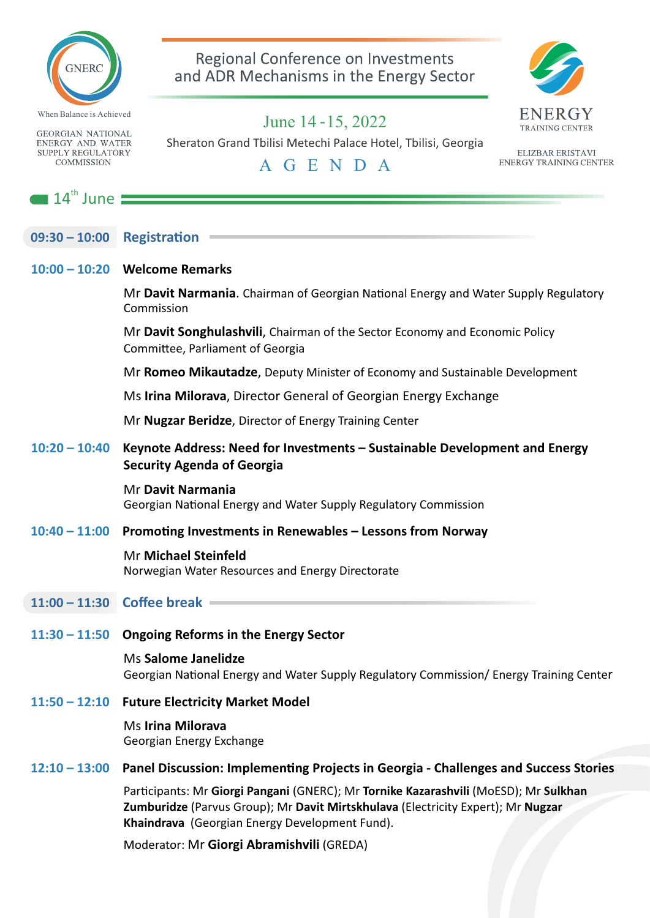

**GEORGIAN NATIONAL ENERGY AND WATER SUPPLY REGULATORY COMMISSION** 

 $\blacksquare$  14<sup>th</sup> June

|  | 09:30 - 10:00 Registration |
|--|----------------------------|
|  |                            |

#### **10:00 – 10:20 Welcome Remarks**

Mr **Davit Narmania**. Chairman of Georgian National Energy and Water Supply Regulatory Commission

Mr **Davit Songhulashvili**, Chairman of the Sector Economy and Economic Policy Committee, Parliament of Georgia

Mr **Romeo Mikautadze**, Deputy Minister of Economy and Sustainable Development

Ms **Irina Milorava**, Director General of Georgian Energy Exchange

Mr **Nugzar Beridze**, Director of Energy Training Center

#### **10:20 – 10:40 Keynote Address: Need for Investments – Sustainable Development and Energy Security Agenda of Georgia**

Mr **Davit Narmania** Georgian National Energy and Water Supply Regulatory Commission

#### **10:40 – 11:00 Promong Investments in Renewables – Lessons from Norway**

#### Mr **Michael Steinfeld**

Norwegian Water Resources and Energy Directorate

#### **11:00 – 11:30 Coffee break**

**11:30 – 11:50 Ongoing Reforms in the Energy Sector** 

#### Ms **Salome Janelidze** Georgian National Energy and Water Supply Regulatory Commission/ Energy Training Center

#### **11:50 – 12:10 Future Electricity Market Model**

Ms **Irina Milorava** Georgian Energy Exchange

#### **12:10 – 13:00 Panel Discussion: Implemenng Projects in Georgia - Challenges and Success Stories**

Parcipants: Mr **Giorgi Pangani** (GNERC); Mr **Tornike Kazarashvili** (MoESD); Mr **Sulkhan Zumburidze** (Parvus Group); Mr **Davit Mirtskhulava** (Electricity Expert); Mr **Nugzar Khaindrava** (Georgian Energy Development Fund).

Moderator: Mr **Giorgi Abramishvili** (GREDA)

 *June 14 -15, 2022* Sheraton Grand Tbilisi Metechi Palace Hotel, Tbilisi, Georgia



ELIZBAR ERISTAVI **ENERGY TRAINING CENTER** 

Regional Conference on Investments and ADR Mechanisms in the Energy Sector

*A G E N D A*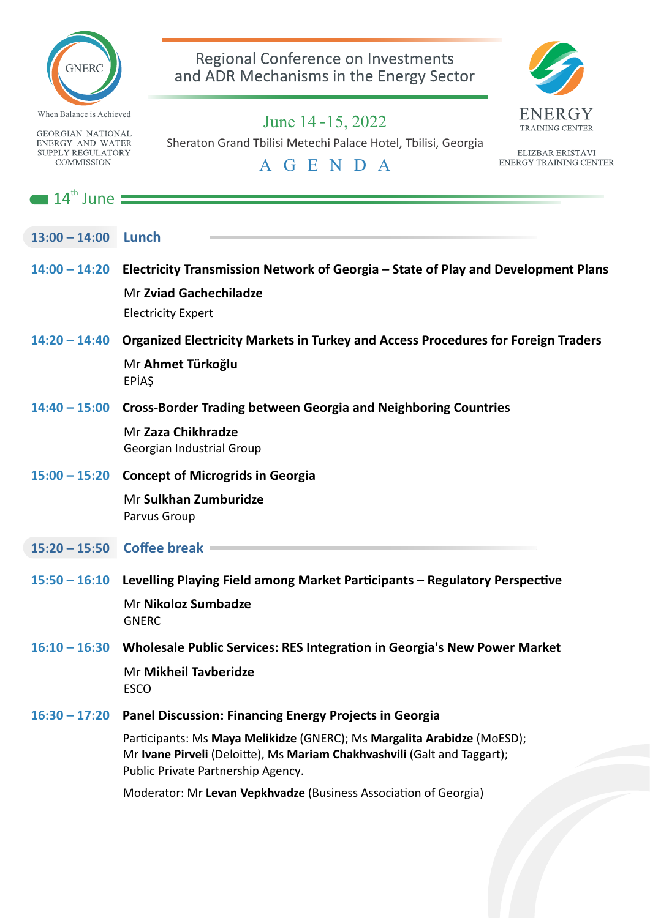

**GEORGIAN NATIONAL ENERGY AND WATER SUPPLY REGULATORY COMMISSION** 

### Regional Conference on Investments and ADR Mechanisms in the Energy Sector



 *June 14 -15, 2022* Sheraton Grand Tbilisi Metechi Palace Hotel, Tbilisi, Georgia

ELIZBAR ERISTAVI **ENERGY TRAINING CENTER** 

*A G E N D A*

# $\blacksquare$  14<sup>th</sup> June **13:00 – 14:00 Lunch 14:00 – 14:20 Electricity Transmission Network of Georgia – State of Play and Development Plans** Mr **Zviad Gachechiladze** Electricity Expert **14:20 – 14:40 Organized Electricity Markets in Turkey and Access Procedures for Foreign Traders** Mr **Ahmet Türkoğlu** EPİAŞ **14:40 – 15:00 Cross-Border Trading between Georgia and Neighboring Countries** Mr **Zaza Chikhradze** Georgian Industrial Group **15:00 – 15:20 Concept of Microgrids in Georgia** Mr **Sulkhan Zumburidze** Parvus Group **15:20 – 15:50 Coffee break** 15:50 – 16:10 Levelling Playing Field among Market Participants – Regulatory Perspective Mr **Nikoloz Sumbadze GNERC** 16:10 – 16:30 Wholesale Public Services: RES Integration in Georgia's New Power Market Mr **Mikheil Tavberidze** ESCO **16:30 – 17:20 Panel Discussion: Financing Energy Projects in Georgia** Parcipants: Ms **Maya Melikidze** (GNERC); Ms **Margalita Arabidze** (MoESD); Mr Ivane Pirveli (Deloitte), Ms Mariam Chakhvashvili (Galt and Taggart); Public Private Partnership Agency. Moderator: Mr Levan Vepkhvadze (Business Association of Georgia)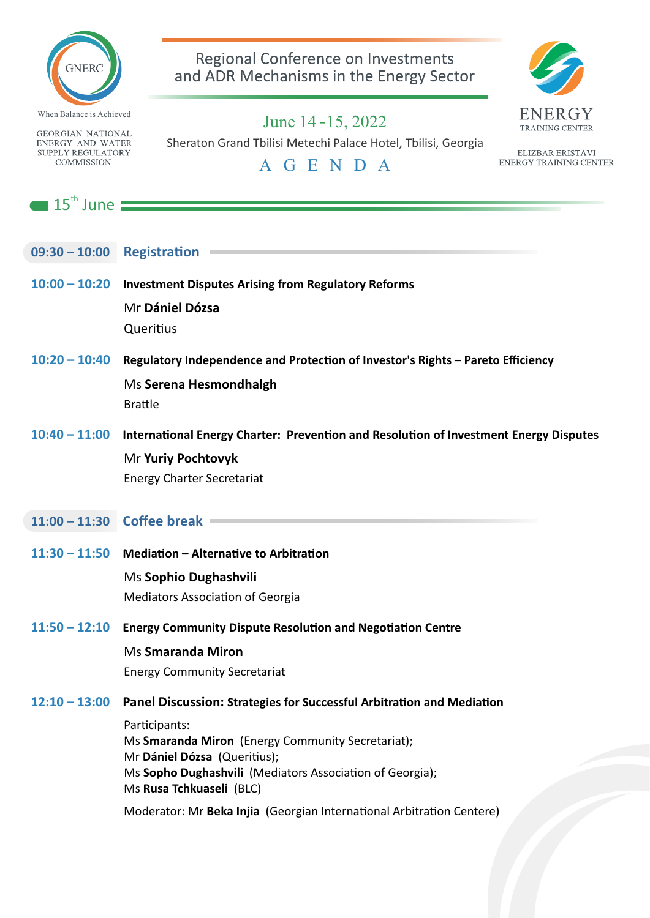

Regional Conference on Investments and ADR Mechanisms in the Energy Sector **TRAINING CENTER** 

**GEORGIAN NATIONAL ENERGY AND WATER SUPPLY REGULATORY COMMISSION** 

# *June 14 -15, 2022*

Sheraton Grand Tbilisi Metechi Palace Hotel, Tbilisi, Georgia

### *A G E N D A*

ELIZBAR ERISTAVI **ENERGY TRAINING CENTER** 

 $\blacksquare$  15<sup>th</sup> June

- **09:30 10:00 Registration**
- **10:00 10:20 Investment Disputes Arising from Regulatory Reforms** Mr **Dániel Dózsa Queritius**
- 10:20 10:40 Regulatory Independence and Protection of Investor's Rights Pareto Efficiency Ms **Serena Hesmondhalgh** Brattle
- 10:40 11:00 International Energy Charter: Prevention and Resolution of Investment Energy Disputes Mr **Yuriy Pochtovyk** Energy Charter Secretariat
- **11:00 11:30 Coffee break**
- 11:30 11:50 Mediation Alternative to Arbitration Ms **Sophio Dughashvili Mediators Association of Georgia**
- 11:50 12:10 **Energy Community Dispute Resolution and Negotiation Centre** 
	- Ms **Smaranda Miron**

Energy Community Secretariat

12:10 – 13:00 Panel Discussion: Strategies for Successful Arbitration and Mediation

Participants: Ms **Smaranda Miron** (Energy Community Secretariat); Mr Dániel Dózsa (Queritius); Ms **Sopho Dughashvili** (Mediators Association of Georgia); Ms **Rusa Tchkuaseli** (BLC)

Moderator: Mr Beka Injia (Georgian International Arbitration Centere)